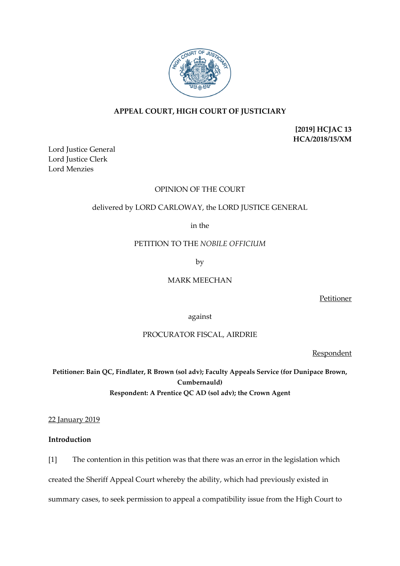

# **APPEAL COURT, HIGH COURT OF JUSTICIARY**

**[2019] HCJAC 13 HCA/2018/15/XM**

Lord Justice General Lord Justice Clerk Lord Menzies

## OPINION OF THE COURT

## delivered by LORD CARLOWAY, the LORD JUSTICE GENERAL

in the

### PETITION TO THE *NOBILE OFFICIUM*

by

## MARK MEECHAN

Petitioner

against

# PROCURATOR FISCAL, AIRDRIE

Respondent

**Petitioner: Bain QC, Findlater, R Brown (sol adv); Faculty Appeals Service (for Dunipace Brown, Cumbernauld) Respondent: A Prentice QC AD (sol adv); the Crown Agent**

22 January 2019

## **Introduction**

[1] The contention in this petition was that there was an error in the legislation which

created the Sheriff Appeal Court whereby the ability, which had previously existed in

summary cases, to seek permission to appeal a compatibility issue from the High Court to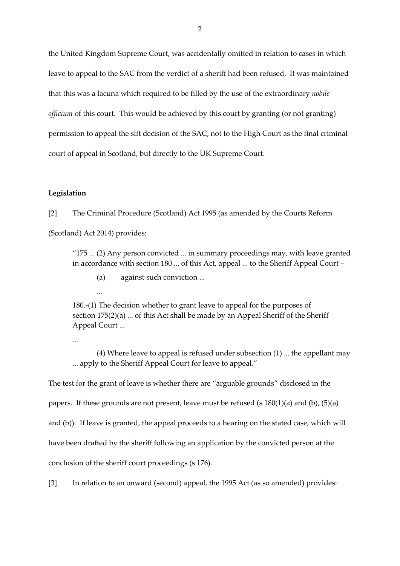the United Kingdom Supreme Court, was accidentally omitted in relation to cases in which leave to appeal to the SAC from the verdict of a sheriff had been refused. It was maintained that this was a lacuna which required to be filled by the use of the extraordinary *nobile officium* of this court. This would be achieved by this court by granting (or not granting) permission to appeal the sift decision of the SAC, not to the High Court as the final criminal court of appeal in Scotland, but directly to the UK Supreme Court.

### **Legislation**

[2] The Criminal Procedure (Scotland) Act 1995 (as amended by the Courts Reform

(Scotland) Act 2014) provides:

"175 ... (2) Any person convicted ... in summary proceedings may, with leave granted in accordance with section 180 ... of this Act, appeal ... to the Sheriff Appeal Court –

- (a) against such conviction ...
- ...

180.-(1) The decision whether to grant leave to appeal for the purposes of section 175(2)(a) ... of this Act shall be made by an Appeal Sheriff of the Sheriff Appeal Court ...

...

(4) Where leave to appeal is refused under subsection (1) ... the appellant may ... apply to the Sheriff Appeal Court for leave to appeal."

The test for the grant of leave is whether there are "arguable grounds" disclosed in the

papers. If these grounds are not present, leave must be refused (s  $180(1)(a)$  and (b),  $(5)(a)$ 

and (b)). If leave is granted, the appeal proceeds to a hearing on the stated case, which will

have been drafted by the sheriff following an application by the convicted person at the

conclusion of the sheriff court proceedings (s 176).

[3] In relation to an onward (second) appeal, the 1995 Act (as so amended) provides: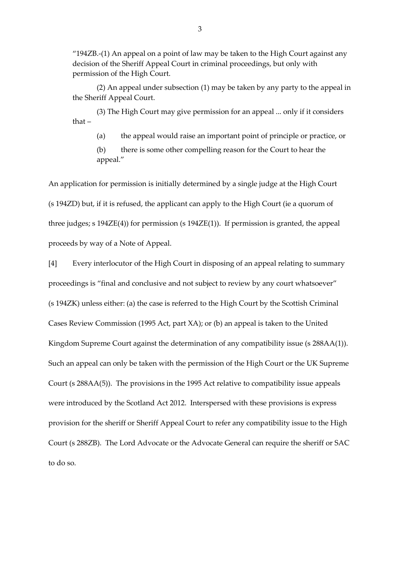"194ZB.-(1) An appeal on a point of law may be taken to the High Court against any decision of the Sheriff Appeal Court in criminal proceedings, but only with permission of the High Court.

(2) An appeal under subsection (1) may be taken by any party to the appeal in the Sheriff Appeal Court.

(3) The High Court may give permission for an appeal ... only if it considers that –

(a) the appeal would raise an important point of principle or practice, or

(b) there is some other compelling reason for the Court to hear the appeal."

An application for permission is initially determined by a single judge at the High Court (s 194ZD) but, if it is refused, the applicant can apply to the High Court (ie a quorum of three judges; s 194ZE(4)) for permission (s 194ZE(1)). If permission is granted, the appeal proceeds by way of a Note of Appeal.

[4] Every interlocutor of the High Court in disposing of an appeal relating to summary proceedings is "final and conclusive and not subject to review by any court whatsoever" (s 194ZK) unless either: (a) the case is referred to the High Court by the Scottish Criminal Cases Review Commission (1995 Act, part XA); or (b) an appeal is taken to the United Kingdom Supreme Court against the determination of any compatibility issue (s 288AA(1)). Such an appeal can only be taken with the permission of the High Court or the UK Supreme Court (s 288AA(5)). The provisions in the 1995 Act relative to compatibility issue appeals were introduced by the Scotland Act 2012. Interspersed with these provisions is express provision for the sheriff or Sheriff Appeal Court to refer any compatibility issue to the High Court (s 288ZB). The Lord Advocate or the Advocate General can require the sheriff or SAC to do so.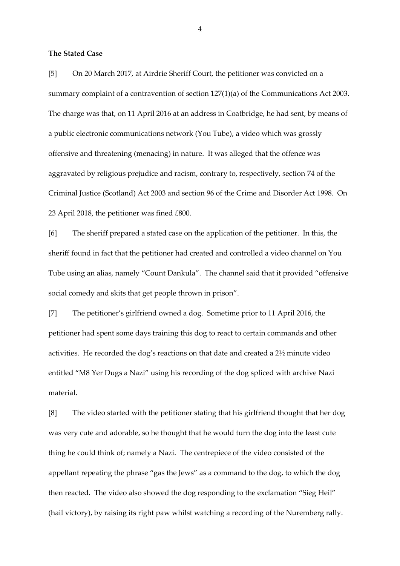### **The Stated Case**

[5] On 20 March 2017, at Airdrie Sheriff Court, the petitioner was convicted on a summary complaint of a contravention of section 127(1)(a) of the Communications Act 2003. The charge was that, on 11 April 2016 at an address in Coatbridge, he had sent, by means of a public electronic communications network (You Tube), a video which was grossly offensive and threatening (menacing) in nature. It was alleged that the offence was aggravated by religious prejudice and racism, contrary to, respectively, section 74 of the Criminal Justice (Scotland) Act 2003 and section 96 of the Crime and Disorder Act 1998. On 23 April 2018, the petitioner was fined £800.

[6] The sheriff prepared a stated case on the application of the petitioner. In this, the sheriff found in fact that the petitioner had created and controlled a video channel on You Tube using an alias, namely "Count Dankula". The channel said that it provided "offensive social comedy and skits that get people thrown in prison".

[7] The petitioner's girlfriend owned a dog. Sometime prior to 11 April 2016, the petitioner had spent some days training this dog to react to certain commands and other activities. He recorded the dog's reactions on that date and created a 2½ minute video entitled "M8 Yer Dugs a Nazi" using his recording of the dog spliced with archive Nazi material.

[8] The video started with the petitioner stating that his girlfriend thought that her dog was very cute and adorable, so he thought that he would turn the dog into the least cute thing he could think of; namely a Nazi. The centrepiece of the video consisted of the appellant repeating the phrase "gas the Jews" as a command to the dog, to which the dog then reacted. The video also showed the dog responding to the exclamation "Sieg Heil" (hail victory), by raising its right paw whilst watching a recording of the Nuremberg rally.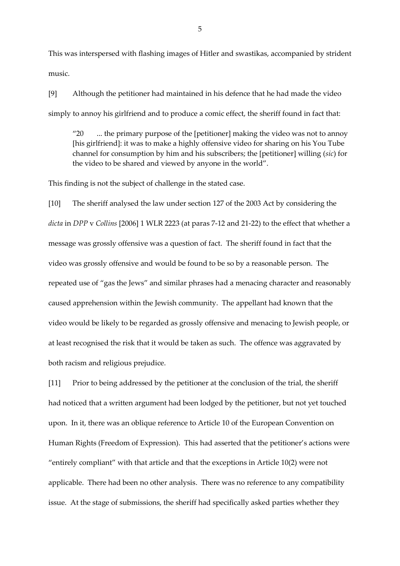This was interspersed with flashing images of Hitler and swastikas, accompanied by strident music.

[9] Although the petitioner had maintained in his defence that he had made the video simply to annoy his girlfriend and to produce a comic effect, the sheriff found in fact that:

"20 ... the primary purpose of the [petitioner] making the video was not to annoy [his girlfriend]: it was to make a highly offensive video for sharing on his You Tube channel for consumption by him and his subscribers; the [petitioner] willing (*sic*) for the video to be shared and viewed by anyone in the world".

This finding is not the subject of challenge in the stated case.

[10] The sheriff analysed the law under section 127 of the 2003 Act by considering the *dicta* in *DPP* v *Collins* [2006] 1 WLR 2223 (at paras 7-12 and 21-22) to the effect that whether a message was grossly offensive was a question of fact. The sheriff found in fact that the video was grossly offensive and would be found to be so by a reasonable person. The repeated use of "gas the Jews" and similar phrases had a menacing character and reasonably caused apprehension within the Jewish community. The appellant had known that the video would be likely to be regarded as grossly offensive and menacing to Jewish people, or at least recognised the risk that it would be taken as such. The offence was aggravated by both racism and religious prejudice.

[11] Prior to being addressed by the petitioner at the conclusion of the trial, the sheriff had noticed that a written argument had been lodged by the petitioner, but not yet touched upon. In it, there was an oblique reference to Article 10 of the European Convention on Human Rights (Freedom of Expression). This had asserted that the petitioner's actions were "entirely compliant" with that article and that the exceptions in Article 10(2) were not applicable. There had been no other analysis. There was no reference to any compatibility issue. At the stage of submissions, the sheriff had specifically asked parties whether they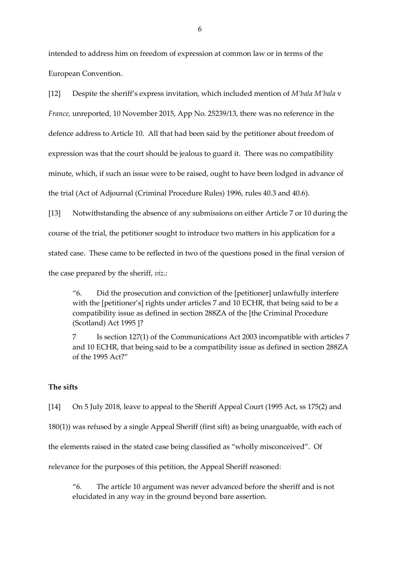intended to address him on freedom of expression at common law or in terms of the European Convention.

[12] Despite the sheriff's express invitation, which included mention of *M'bala M'bala* v *France,* unreported, 10 November 2015, App No. 25239/13, there was no reference in the defence address to Article 10. All that had been said by the petitioner about freedom of expression was that the court should be jealous to guard it. There was no compatibility minute, which, if such an issue were to be raised, ought to have been lodged in advance of the trial (Act of Adjournal (Criminal Procedure Rules) 1996, rules 40.3 and 40.6).

[13] Notwithstanding the absence of any submissions on either Article 7 or 10 during the course of the trial, the petitioner sought to introduce two matters in his application for a stated case. These came to be reflected in two of the questions posed in the final version of the case prepared by the sheriff, *viz*.:

"6. Did the prosecution and conviction of the [petitioner] unlawfully interfere with the [petitioner's] rights under articles 7 and 10 ECHR, that being said to be a compatibility issue as defined in section 288ZA of the [the Criminal Procedure (Scotland) Act 1995 ]?

7 Is section 127(1) of the Communications Act 2003 incompatible with articles 7 and 10 ECHR, that being said to be a compatibility issue as defined in section 288ZA of the 1995 Act?"

## **The sifts**

[14] On 5 July 2018, leave to appeal to the Sheriff Appeal Court (1995 Act, ss 175(2) and

180(1)) was refused by a single Appeal Sheriff (first sift) as being unarguable, with each of

the elements raised in the stated case being classified as "wholly misconceived". Of

relevance for the purposes of this petition, the Appeal Sheriff reasoned:

"6. The article 10 argument was never advanced before the sheriff and is not elucidated in any way in the ground beyond bare assertion.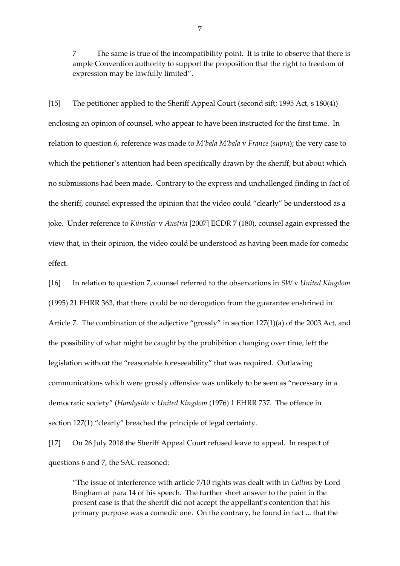7 The same is true of the incompatibility point. It is trite to observe that there is ample Convention authority to support the proposition that the right to freedom of expression may be lawfully limited".

[15] The petitioner applied to the Sheriff Appeal Court (second sift; 1995 Act, s 180(4)) enclosing an opinion of counsel, who appear to have been instructed for the first time. In relation to question 6, reference was made to *M'bala M'bala* v *France* (*supra*); the very case to which the petitioner's attention had been specifically drawn by the sheriff, but about which no submissions had been made. Contrary to the express and unchallenged finding in fact of the sheriff, counsel expressed the opinion that the video could "clearly" be understood as a joke. Under reference to *Künstler* v *Austria* [2007] ECDR 7 (180), counsel again expressed the view that, in their opinion, the video could be understood as having been made for comedic effect.

[16] In relation to question 7, counsel referred to the observations in *SW* v *United Kingdom*  (1995) 21 EHRR 363, that there could be no derogation from the guarantee enshrined in Article 7. The combination of the adjective "grossly" in section 127(1)(a) of the 2003 Act, and the possibility of what might be caught by the prohibition changing over time, left the legislation without the "reasonable foreseeability" that was required. Outlawing communications which were grossly offensive was unlikely to be seen as "necessary in a democratic society" (*Handyside* v *United Kingdom* (1976) 1 EHRR 737. The offence in section 127(1) "clearly" breached the principle of legal certainty.

[17] On 26 July 2018 the Sheriff Appeal Court refused leave to appeal. In respect of questions 6 and 7, the SAC reasoned:

"The issue of interference with article 7/10 rights was dealt with in *Collins* by Lord Bingham at para 14 of his speech. The further short answer to the point in the present case is that the sheriff did not accept the appellant's contention that his primary purpose was a comedic one. On the contrary, he found in fact ... that the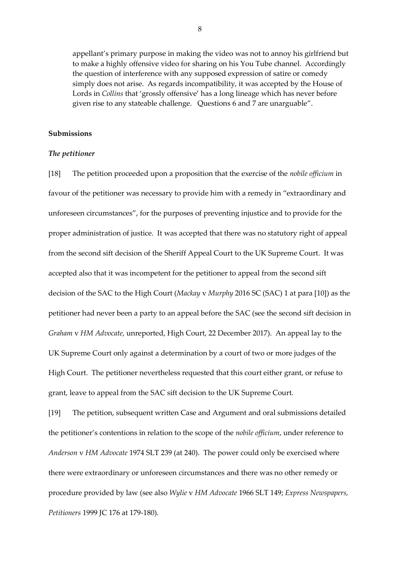appellant's primary purpose in making the video was not to annoy his girlfriend but to make a highly offensive video for sharing on his You Tube channel. Accordingly the question of interference with any supposed expression of satire or comedy simply does not arise. As regards incompatibility, it was accepted by the House of Lords in *Collins* that 'grossly offensive' has a long lineage which has never before given rise to any stateable challenge. Questions 6 and 7 are unarguable".

### **Submissions**

#### *The petitioner*

[18] The petition proceeded upon a proposition that the exercise of the *nobile officium* in favour of the petitioner was necessary to provide him with a remedy in "extraordinary and unforeseen circumstances", for the purposes of preventing injustice and to provide for the proper administration of justice. It was accepted that there was no statutory right of appeal from the second sift decision of the Sheriff Appeal Court to the UK Supreme Court. It was accepted also that it was incompetent for the petitioner to appeal from the second sift decision of the SAC to the High Court (*Mackay* v *Murphy* 2016 SC (SAC) 1 at para [10]) as the petitioner had never been a party to an appeal before the SAC (see the second sift decision in *Graham* v *HM Advocate*, unreported, High Court, 22 December 2017). An appeal lay to the UK Supreme Court only against a determination by a court of two or more judges of the High Court. The petitioner nevertheless requested that this court either grant, or refuse to grant, leave to appeal from the SAC sift decision to the UK Supreme Court.

[19] The petition, subsequent written Case and Argument and oral submissions detailed the petitioner's contentions in relation to the scope of the *nobile officium*, under reference to *Anderson* v *HM Advocate* 1974 SLT 239 (at 240). The power could only be exercised where there were extraordinary or unforeseen circumstances and there was no other remedy or procedure provided by law (see also *Wylie* v *HM Advocate* 1966 SLT 149; *Express Newspapers, Petitioners* 1999 JC 176 at 179-180).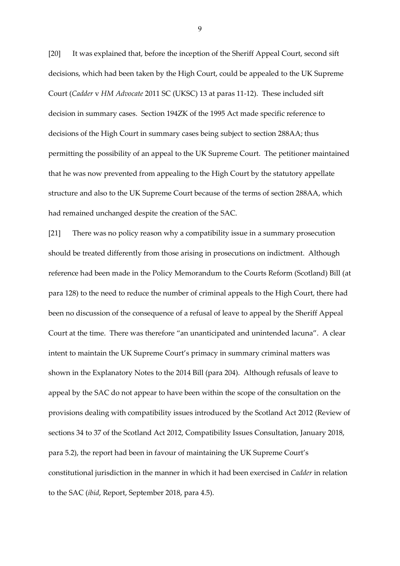[20] It was explained that, before the inception of the Sheriff Appeal Court, second sift decisions, which had been taken by the High Court, could be appealed to the UK Supreme Court (*Cadder* v *HM Advocate* 2011 SC (UKSC) 13 at paras 11-12). These included sift decision in summary cases. Section 194ZK of the 1995 Act made specific reference to decisions of the High Court in summary cases being subject to section 288AA; thus permitting the possibility of an appeal to the UK Supreme Court. The petitioner maintained that he was now prevented from appealing to the High Court by the statutory appellate structure and also to the UK Supreme Court because of the terms of section 288AA, which had remained unchanged despite the creation of the SAC.

[21] There was no policy reason why a compatibility issue in a summary prosecution should be treated differently from those arising in prosecutions on indictment. Although reference had been made in the Policy Memorandum to the Courts Reform (Scotland) Bill (at para 128) to the need to reduce the number of criminal appeals to the High Court, there had been no discussion of the consequence of a refusal of leave to appeal by the Sheriff Appeal Court at the time. There was therefore "an unanticipated and unintended lacuna". A clear intent to maintain the UK Supreme Court's primacy in summary criminal matters was shown in the Explanatory Notes to the 2014 Bill (para 204). Although refusals of leave to appeal by the SAC do not appear to have been within the scope of the consultation on the provisions dealing with compatibility issues introduced by the Scotland Act 2012 (Review of sections 34 to 37 of the Scotland Act 2012, Compatibility Issues Consultation, January 2018, para 5.2), the report had been in favour of maintaining the UK Supreme Court's constitutional jurisdiction in the manner in which it had been exercised in *Cadder* in relation to the SAC (*ibid*, Report, September 2018, para 4.5).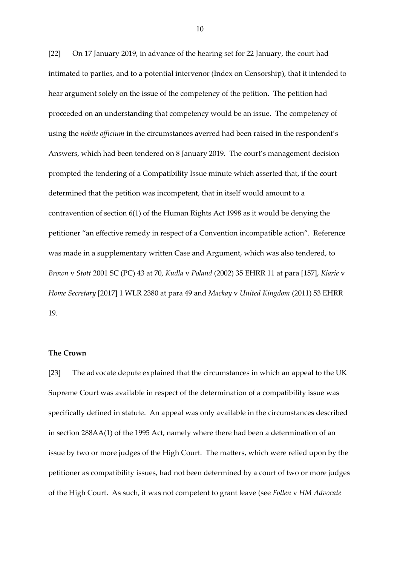[22] On 17 January 2019, in advance of the hearing set for 22 January, the court had intimated to parties, and to a potential intervenor (Index on Censorship), that it intended to hear argument solely on the issue of the competency of the petition. The petition had proceeded on an understanding that competency would be an issue. The competency of using the *nobile officium* in the circumstances averred had been raised in the respondent's Answers, which had been tendered on 8 January 2019. The court's management decision prompted the tendering of a Compatibility Issue minute which asserted that, if the court determined that the petition was incompetent, that in itself would amount to a contravention of section 6(1) of the Human Rights Act 1998 as it would be denying the petitioner "an effective remedy in respect of a Convention incompatible action". Reference was made in a supplementary written Case and Argument, which was also tendered, to *Brown* v *Stott* 2001 SC (PC) 43 at 70, *Kudla* v *Poland* (2002) 35 EHRR 11 at para [157], *Kiarie* v *Home Secretary* [2017] 1 WLR 2380 at para 49 and *Mackay* v *United Kingdom* (2011) 53 EHRR 19.

#### **The Crown**

[23] The advocate depute explained that the circumstances in which an appeal to the UK Supreme Court was available in respect of the determination of a compatibility issue was specifically defined in statute. An appeal was only available in the circumstances described in section 288AA(1) of the 1995 Act, namely where there had been a determination of an issue by two or more judges of the High Court. The matters, which were relied upon by the petitioner as compatibility issues, had not been determined by a court of two or more judges of the High Court. As such, it was not competent to grant leave (see *Follen* v *HM Advocate*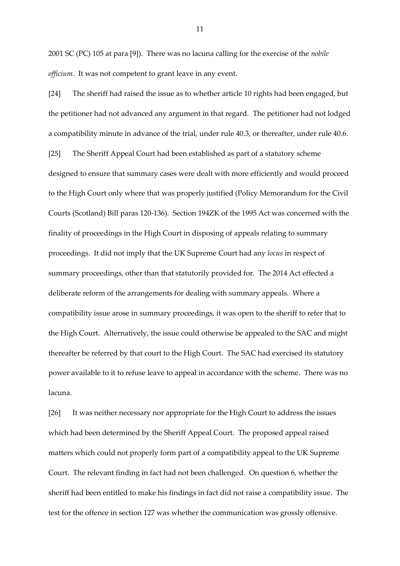2001 SC (PC) 105 at para [9]). There was no lacuna calling for the exercise of the *nobile officium*. It was not competent to grant leave in any event.

[24] The sheriff had raised the issue as to whether article 10 rights had been engaged, but the petitioner had not advanced any argument in that regard. The petitioner had not lodged a compatibility minute in advance of the trial, under rule 40.3, or thereafter, under rule 40.6. [25] The Sheriff Appeal Court had been established as part of a statutory scheme designed to ensure that summary cases were dealt with more efficiently and would proceed to the High Court only where that was properly justified (Policy Memorandum for the Civil Courts (Scotland) Bill paras 120-136). Section 194ZK of the 1995 Act was concerned with the finality of proceedings in the High Court in disposing of appeals relating to summary proceedings. It did not imply that the UK Supreme Court had any *locus* in respect of summary proceedings, other than that statutorily provided for. The 2014 Act effected a deliberate reform of the arrangements for dealing with summary appeals. Where a compatibility issue arose in summary proceedings, it was open to the sheriff to refer that to the High Court. Alternatively, the issue could otherwise be appealed to the SAC and might thereafter be referred by that court to the High Court. The SAC had exercised its statutory power available to it to refuse leave to appeal in accordance with the scheme. There was no lacuna.

[26] It was neither necessary nor appropriate for the High Court to address the issues which had been determined by the Sheriff Appeal Court. The proposed appeal raised matters which could not properly form part of a compatibility appeal to the UK Supreme Court. The relevant finding in fact had not been challenged. On question 6, whether the sheriff had been entitled to make his findings in fact did not raise a compatibility issue. The test for the offence in section 127 was whether the communication was grossly offensive.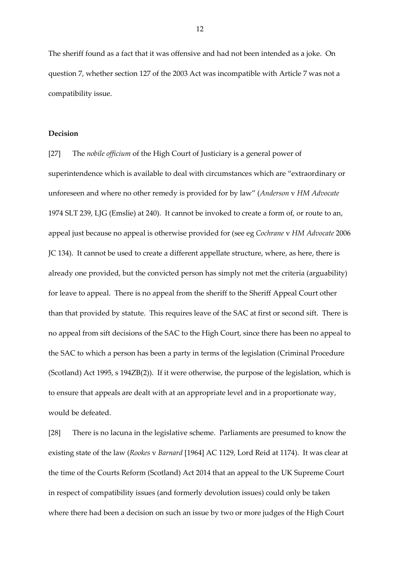The sheriff found as a fact that it was offensive and had not been intended as a joke. On question 7, whether section 127 of the 2003 Act was incompatible with Article 7 was not a compatibility issue.

### **Decision**

[27] The *nobile officium* of the High Court of Justiciary is a general power of superintendence which is available to deal with circumstances which are "extraordinary or unforeseen and where no other remedy is provided for by law" (*Anderson* v *HM Advocate* 1974 SLT 239, LJG (Emslie) at 240). It cannot be invoked to create a form of, or route to an, appeal just because no appeal is otherwise provided for (see eg *Cochrane* v *HM Advocate* 2006 JC 134). It cannot be used to create a different appellate structure, where, as here, there is already one provided, but the convicted person has simply not met the criteria (arguability) for leave to appeal. There is no appeal from the sheriff to the Sheriff Appeal Court other than that provided by statute. This requires leave of the SAC at first or second sift. There is no appeal from sift decisions of the SAC to the High Court, since there has been no appeal to the SAC to which a person has been a party in terms of the legislation (Criminal Procedure (Scotland) Act 1995, s 194ZB(2)). If it were otherwise, the purpose of the legislation, which is to ensure that appeals are dealt with at an appropriate level and in a proportionate way, would be defeated.

[28] There is no lacuna in the legislative scheme. Parliaments are presumed to know the existing state of the law (*Rookes* v *Barnard* [1964] AC 1129, Lord Reid at 1174). It was clear at the time of the Courts Reform (Scotland) Act 2014 that an appeal to the UK Supreme Court in respect of compatibility issues (and formerly devolution issues) could only be taken where there had been a decision on such an issue by two or more judges of the High Court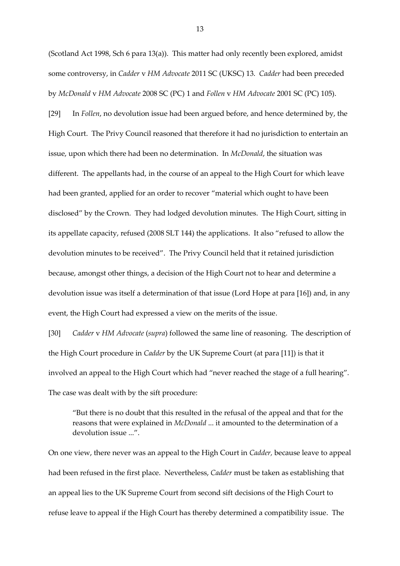(Scotland Act 1998, Sch 6 para 13(a)). This matter had only recently been explored, amidst some controversy, in *Cadder* v *HM Advocate* 2011 SC (UKSC) 13. *Cadder* had been preceded by *McDonald* v *HM Advocate* 2008 SC (PC) 1 and *Follen* v *HM Advocate* 2001 SC (PC) 105).

[29] In *Follen*, no devolution issue had been argued before, and hence determined by, the High Court. The Privy Council reasoned that therefore it had no jurisdiction to entertain an issue, upon which there had been no determination. In *McDonald*, the situation was different. The appellants had, in the course of an appeal to the High Court for which leave had been granted, applied for an order to recover "material which ought to have been disclosed" by the Crown. They had lodged devolution minutes. The High Court, sitting in its appellate capacity, refused (2008 SLT 144) the applications. It also "refused to allow the devolution minutes to be received". The Privy Council held that it retained jurisdiction because, amongst other things, a decision of the High Court not to hear and determine a devolution issue was itself a determination of that issue (Lord Hope at para [16]) and, in any event, the High Court had expressed a view on the merits of the issue.

[30] *Cadder* v *HM Advocate* (*supra*) followed the same line of reasoning. The description of the High Court procedure in *Cadder* by the UK Supreme Court (at para [11]) is that it involved an appeal to the High Court which had "never reached the stage of a full hearing". The case was dealt with by the sift procedure:

"But there is no doubt that this resulted in the refusal of the appeal and that for the reasons that were explained in *McDonald* ... it amounted to the determination of a devolution issue ...".

On one view, there never was an appeal to the High Court in *Cadder,* because leave to appeal had been refused in the first place. Nevertheless, *Cadder* must be taken as establishing that an appeal lies to the UK Supreme Court from second sift decisions of the High Court to refuse leave to appeal if the High Court has thereby determined a compatibility issue. The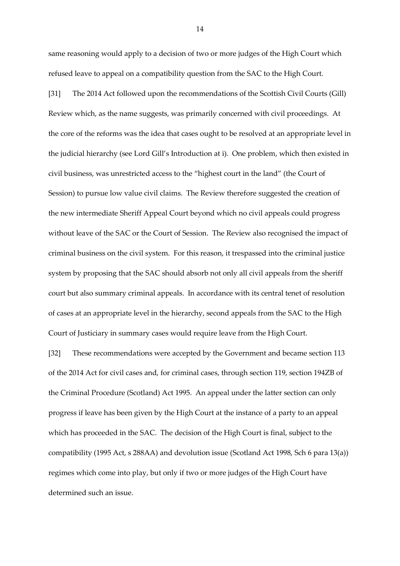same reasoning would apply to a decision of two or more judges of the High Court which refused leave to appeal on a compatibility question from the SAC to the High Court.

[31] The 2014 Act followed upon the recommendations of the Scottish Civil Courts (Gill) Review which, as the name suggests, was primarily concerned with civil proceedings. At the core of the reforms was the idea that cases ought to be resolved at an appropriate level in the judicial hierarchy (see Lord Gill's Introduction at i). One problem, which then existed in civil business, was unrestricted access to the "highest court in the land" (the Court of Session) to pursue low value civil claims. The Review therefore suggested the creation of the new intermediate Sheriff Appeal Court beyond which no civil appeals could progress without leave of the SAC or the Court of Session. The Review also recognised the impact of criminal business on the civil system. For this reason, it trespassed into the criminal justice system by proposing that the SAC should absorb not only all civil appeals from the sheriff court but also summary criminal appeals. In accordance with its central tenet of resolution of cases at an appropriate level in the hierarchy, second appeals from the SAC to the High Court of Justiciary in summary cases would require leave from the High Court.

[32] These recommendations were accepted by the Government and became section 113 of the 2014 Act for civil cases and, for criminal cases, through section 119, section 194ZB of the Criminal Procedure (Scotland) Act 1995. An appeal under the latter section can only progress if leave has been given by the High Court at the instance of a party to an appeal which has proceeded in the SAC. The decision of the High Court is final, subject to the compatibility (1995 Act, s 288AA) and devolution issue (Scotland Act 1998, Sch 6 para 13(a)) regimes which come into play, but only if two or more judges of the High Court have determined such an issue.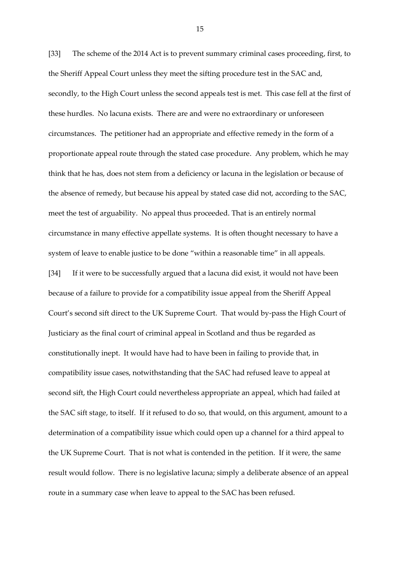[33] The scheme of the 2014 Act is to prevent summary criminal cases proceeding, first, to the Sheriff Appeal Court unless they meet the sifting procedure test in the SAC and, secondly, to the High Court unless the second appeals test is met. This case fell at the first of these hurdles. No lacuna exists. There are and were no extraordinary or unforeseen circumstances. The petitioner had an appropriate and effective remedy in the form of a proportionate appeal route through the stated case procedure. Any problem, which he may think that he has, does not stem from a deficiency or lacuna in the legislation or because of the absence of remedy, but because his appeal by stated case did not, according to the SAC, meet the test of arguability. No appeal thus proceeded. That is an entirely normal circumstance in many effective appellate systems. It is often thought necessary to have a system of leave to enable justice to be done "within a reasonable time" in all appeals. [34] If it were to be successfully argued that a lacuna did exist, it would not have been because of a failure to provide for a compatibility issue appeal from the Sheriff Appeal Court's second sift direct to the UK Supreme Court. That would by-pass the High Court of Justiciary as the final court of criminal appeal in Scotland and thus be regarded as constitutionally inept. It would have had to have been in failing to provide that, in compatibility issue cases, notwithstanding that the SAC had refused leave to appeal at second sift, the High Court could nevertheless appropriate an appeal, which had failed at the SAC sift stage, to itself. If it refused to do so, that would, on this argument, amount to a determination of a compatibility issue which could open up a channel for a third appeal to

result would follow. There is no legislative lacuna; simply a deliberate absence of an appeal route in a summary case when leave to appeal to the SAC has been refused.

the UK Supreme Court. That is not what is contended in the petition. If it were, the same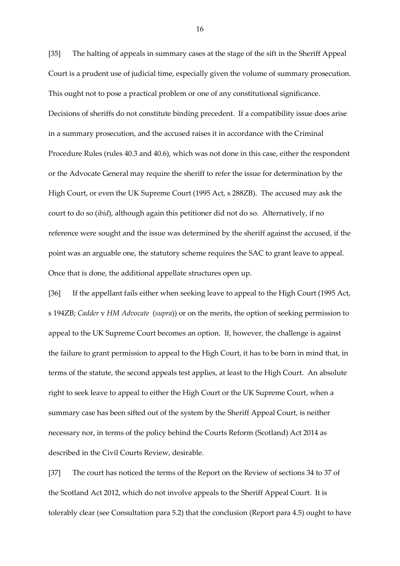[35] The halting of appeals in summary cases at the stage of the sift in the Sheriff Appeal Court is a prudent use of judicial time, especially given the volume of summary prosecution. This ought not to pose a practical problem or one of any constitutional significance. Decisions of sheriffs do not constitute binding precedent. If a compatibility issue does arise in a summary prosecution, and the accused raises it in accordance with the Criminal Procedure Rules (rules 40.3 and 40.6), which was not done in this case, either the respondent or the Advocate General may require the sheriff to refer the issue for determination by the High Court, or even the UK Supreme Court (1995 Act, s 288ZB). The accused may ask the court to do so (*ibid*), although again this petitioner did not do so. Alternatively, if no reference were sought and the issue was determined by the sheriff against the accused, if the point was an arguable one, the statutory scheme requires the SAC to grant leave to appeal. Once that is done, the additional appellate structures open up.

[36] If the appellant fails either when seeking leave to appeal to the High Court (1995 Act, s 194ZB; *Cadder* v *HM Advocate* (*supra*)) or on the merits, the option of seeking permission to appeal to the UK Supreme Court becomes an option. If, however, the challenge is against the failure to grant permission to appeal to the High Court, it has to be born in mind that, in terms of the statute, the second appeals test applies, at least to the High Court. An absolute right to seek leave to appeal to either the High Court or the UK Supreme Court, when a summary case has been sifted out of the system by the Sheriff Appeal Court, is neither necessary nor, in terms of the policy behind the Courts Reform (Scotland) Act 2014 as described in the Civil Courts Review, desirable.

[37] The court has noticed the terms of the Report on the Review of sections 34 to 37 of the Scotland Act 2012, which do not involve appeals to the Sheriff Appeal Court. It is tolerably clear (see Consultation para 5.2) that the conclusion (Report para 4.5) ought to have